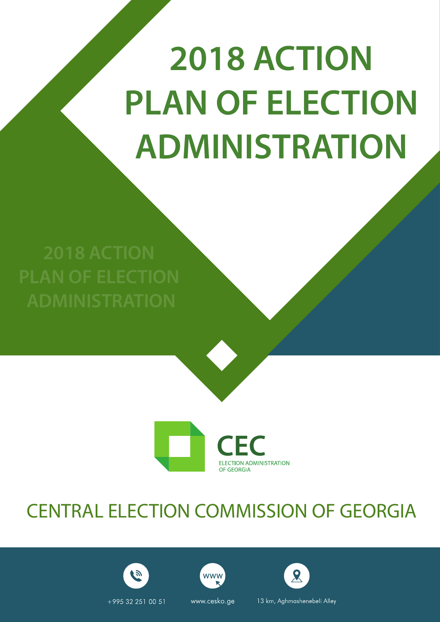# **2018 ACTION PLAN OF ELECTION ADMINISTRATION**



## CENTRAL ELECTION COMMISSION OF GEORGIA







+995 32 251 00 51

www.cesko.ge

**WWW** 

13 km, Aghmashenebeli Alley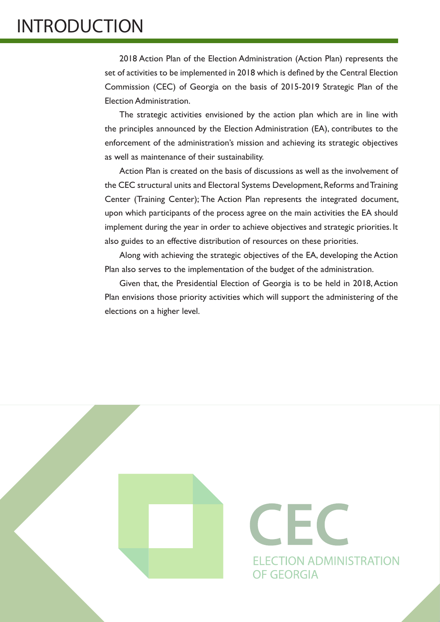## INTRODUCTION

2018 Action Plan of the Election Administration (Action Plan) represents the set of activities to be implemented in 2018 which is defined by the Central Election Commission (CEC) of Georgia on the basis of 2015-2019 Strategic Plan of the Election Administration.

The strategic activities envisioned by the action plan which are in line with the principles announced by the Election Administration (EA), contributes to the enforcement of the administration's mission and achieving its strategic objectives as well as maintenance of their sustainability.

Action Plan is created on the basis of discussions as well as the involvement of the CEC structural units and Electoral Systems Development, Reforms and Training Center (Training Center); The Action Plan represents the integrated document, upon which participants of the process agree on the main activities the EA should implement during the year in order to achieve objectives and strategic priorities. It also guides to an effective distribution of resources on these priorities.

Along with achieving the strategic objectives of the EA, developing the Action Plan also serves to the implementation of the budget of the administration.

Given that, the Presidential Election of Georgia is to be held in 2018, Action Plan envisions those priority activities which will support the administering of the elections on a higher level.



CEC **ELECTION ADMINISTRATION OF GEORGIA**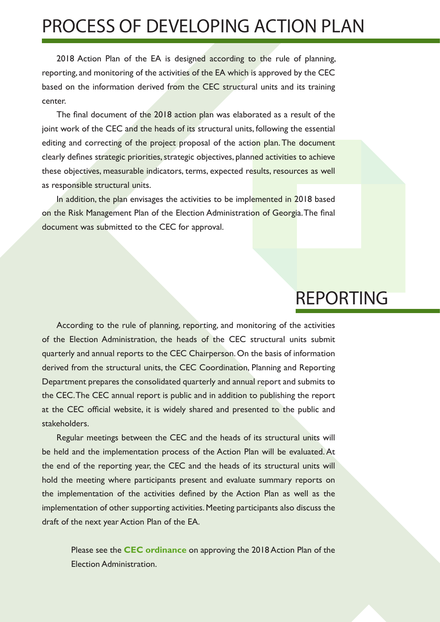### PROCESS OF DEVELOPING ACTION PLAN

2018 Action Plan of the EA is designed according to the rule of planning, reporting, and monitoring of the activities of the EA which is approved by the CEC based on the information derived from the CEC structural units and its training center.

The final document of the 2018 action plan was elaborated as a result of the joint work of the CEC and the heads of its structural units, following the essential editing and correcting of the project proposal of the action plan. The document clearly defines strategic priorities, strategic objectives, planned activities to achieve these objectives, measurable indicators, terms, expected results, resources as well as responsible structural units.

In addition, the plan envisages the activities to be implemented in 2018 based on the Risk Management Plan of the Election Administration of Georgia. The final document was submitted to the CEC for approval.

#### REPORTING

According to the rule of planning, reporting, and monitoring of the activities of the Election Administration, the heads of the CEC structural units submit quarterly and annual reports to the CEC Chairperson. On the basis of information derived from the structural units, the CEC Coordination, Planning and Reporting Department prepares the consolidated quarterly and annual report and submits to the CEC. The CEC annual report is public and in addition to publishing the report at the CEC official website, it is widely shared and presented to the public and stakeholders.

Regular meetings between the CEC and the heads of its structural units will be held and the implementation process of the Action Plan will be evaluated. At the end of the reporting year, the CEC and the heads of its structural units will hold the meeting where participants present and evaluate summary reports on the implementation of the activities defined by the Action Plan as well as the implementation of other supporting activities. Meeting participants also discuss the draft of the next year Action Plan of the EA.

Please see the **[CEC ordinance](http://cesko.ge/res/docs/cg301.pdf)** on approving the 2018 Action Plan of the Election Administration.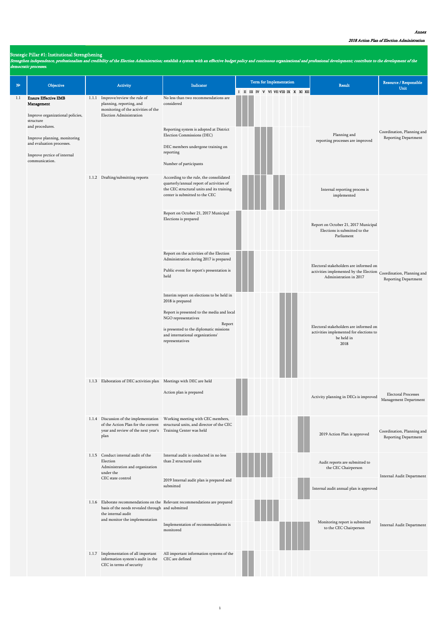Strengthen independence, professionalism and credibility of the Election Administration; establish a system with an effective budget policy and continuous organizational and professional development; contribute to the deve democratic processes.

| $\mathbf{N}^{\mathbf{p}}$ | Objective                                                                                                                                                                                                                   | Activity                                                                                                                       | Indicator                                                                                                                                                                                                                                      | <b>Term for Implementation</b>       | Result                                                                                                                                     | Resource / Responsible<br>Unit                      |
|---------------------------|-----------------------------------------------------------------------------------------------------------------------------------------------------------------------------------------------------------------------------|--------------------------------------------------------------------------------------------------------------------------------|------------------------------------------------------------------------------------------------------------------------------------------------------------------------------------------------------------------------------------------------|--------------------------------------|--------------------------------------------------------------------------------------------------------------------------------------------|-----------------------------------------------------|
| 1.1                       | <b>Ensure Effective EMB</b><br>Management<br>Improve organizational policies,<br>structure<br>and procedures.<br>Improve planning, monitoring<br>and evaluation processes.<br>Improve prctice of internal<br>communication. | 1.1.1 Improve/review the rule of<br>planning, reporting, and<br>monitoring of the activities of the<br>Election Administration | No less than two recommendations are<br>considered<br>Reporting system is adopted at District<br>Election Commissions (DEC)<br>DEC members undergone training on<br>reporting<br>Number of participants                                        | I II III IV V VI VIIVIII IX X XI XII | Planning and<br>reporting processes are improved                                                                                           | Coordination, Planning and<br>Reporting Department  |
|                           |                                                                                                                                                                                                                             | 1.1.2 Drafting/submitting reports                                                                                              | According to the rule, the consolidated<br>quarterly/annual report of activities of<br>the CEC structural units and its training<br>center is submitted to the CEC                                                                             |                                      | Internal reporting process is<br>implemented                                                                                               |                                                     |
|                           |                                                                                                                                                                                                                             |                                                                                                                                | Report on October 21, 2017 Municipal<br>Elections is prepared                                                                                                                                                                                  |                                      | Report on October 21, 2017 Municipal<br>Elections is submitted to the<br>Parliament                                                        |                                                     |
|                           |                                                                                                                                                                                                                             |                                                                                                                                | Report on the activities of the Election<br>Administration during 2017 is prepared<br>Public event for report's presentation is<br>held                                                                                                        |                                      | Electoral stakeholders are informed on<br>activities implemented by the Election $\,$ Coordination, Planning and<br>Administration in 2017 | Reporting Department                                |
|                           |                                                                                                                                                                                                                             |                                                                                                                                | Interim report on elections to be held in<br>2018 is prepared<br>Report is presented to the media and local<br>NGO representatives<br>Report<br>is presented to the diplomatic missions<br>and international organizations'<br>representatives |                                      | Electoral stakeholders are informed on<br>activities implemented for elections to<br>be held in<br>2018                                    |                                                     |
|                           |                                                                                                                                                                                                                             | 1.1.3 Elaboration of DEC activities plan Meetings with DEC are held                                                            | Action plan is prepared                                                                                                                                                                                                                        |                                      | Activity planning in DECs is improved                                                                                                      | <b>Electoral Processes</b><br>Management Department |
|                           |                                                                                                                                                                                                                             | 1.1.4 Discussion of the implementation<br>year and review of the next year's Training Center was held<br>plan                  | Working meeting with CEC members,<br>of the Action Plan for the current structural units, and director of the CEC                                                                                                                              |                                      | 2019 Action Plan is approved                                                                                                               | Coordination, Planning and<br>Reporting Department  |
|                           |                                                                                                                                                                                                                             | 1.1.5 Conduct internal audit of the<br>Election<br>Administration and organization<br>under the<br>CEC state control           | Internal audit is conducted in no less<br>than 2 structural units                                                                                                                                                                              |                                      | Audit reports are submitted to<br>the CEC Chairperson                                                                                      | Internal Audit Department                           |
|                           |                                                                                                                                                                                                                             |                                                                                                                                | 2019 Internal audit plan is prepared and<br>submitted                                                                                                                                                                                          |                                      | Internal audit annual plan is approved                                                                                                     |                                                     |
|                           |                                                                                                                                                                                                                             | basis of the needs revealed through and submitted<br>the internal audit<br>and monitor the implementation                      | 1.1.6 Elaborate recommendations on the Relevant recommendations are prepared<br>Implementation of recommendations is<br>monitored                                                                                                              |                                      | Monitoring report is submitted<br>to the CEC Chairperson                                                                                   | Internal Audit Department                           |
|                           |                                                                                                                                                                                                                             | 1.1.7 Implementation of all important<br>information system's audit in the<br>CEC in terms of security                         | All important information systems of the<br>CEC are defined                                                                                                                                                                                    |                                      |                                                                                                                                            |                                                     |

#### Annex

#### Strategic Pillar #1: Institutional Strengthening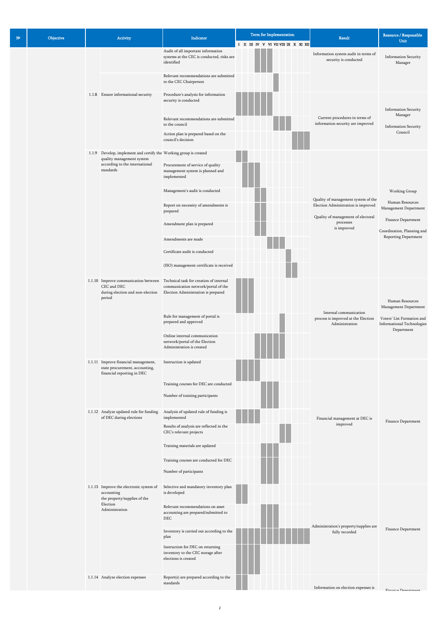| $N^{\circ}$ | Objective | Activity |                                                                                                                                  | Indicator                                                                                                             | <b>Term for Implementation</b><br>I II III IV V VI VII VII IX X XI XII | <b>Result</b>                                                                                         | Resource / Responsible<br>Unit                                                                                                        |
|-------------|-----------|----------|----------------------------------------------------------------------------------------------------------------------------------|-----------------------------------------------------------------------------------------------------------------------|------------------------------------------------------------------------|-------------------------------------------------------------------------------------------------------|---------------------------------------------------------------------------------------------------------------------------------------|
|             |           |          |                                                                                                                                  | Audit of all important information<br>systems at the CEC is conducted, risks are<br>identified                        |                                                                        | Information system audit in terms of<br>security is conducted                                         | Information Security<br>Manager                                                                                                       |
|             |           |          |                                                                                                                                  | Relevant recommendations are submitted<br>to the CEC Chairperson                                                      |                                                                        |                                                                                                       |                                                                                                                                       |
|             |           |          | 1.1.8 Ensure informational security                                                                                              | Procedure's analysis for information<br>security is conducted                                                         |                                                                        |                                                                                                       | <b>Information Security</b>                                                                                                           |
|             |           |          |                                                                                                                                  | Relevant recommendations are submitted<br>to the council                                                              |                                                                        | Current procedures in terms of<br>information security are improved                                   | Manager<br>Information Security                                                                                                       |
|             |           |          |                                                                                                                                  | Action plan is prepared based on the<br>council's decision                                                            |                                                                        |                                                                                                       | Council                                                                                                                               |
|             |           |          | 1.1.9 Develop, implement and certify the Working group is created<br>quality management system<br>according to the international | Procurement of service of quality                                                                                     |                                                                        |                                                                                                       |                                                                                                                                       |
|             |           |          | standards                                                                                                                        | management system is planned and<br>implemented                                                                       |                                                                        |                                                                                                       | Working Group<br>Human Resources<br>Management Department<br>Finance Department<br>Coordination, Planning and<br>Reporting Department |
|             |           |          |                                                                                                                                  | Management's audit is conducted                                                                                       |                                                                        | Quality of management system of the                                                                   |                                                                                                                                       |
|             |           |          |                                                                                                                                  | Report on necessity of amendments is<br>prepared                                                                      |                                                                        | Election Administration is improved<br>Quality of management of electoral<br>processes<br>is improved |                                                                                                                                       |
|             |           |          |                                                                                                                                  | Amendment plan is prepared                                                                                            |                                                                        |                                                                                                       |                                                                                                                                       |
|             |           |          |                                                                                                                                  | Amendments are made                                                                                                   |                                                                        |                                                                                                       |                                                                                                                                       |
|             |           |          |                                                                                                                                  | Certificate audit is conducted                                                                                        |                                                                        |                                                                                                       |                                                                                                                                       |
|             |           |          |                                                                                                                                  | (ISO) management certificate is received                                                                              |                                                                        |                                                                                                       |                                                                                                                                       |
|             |           |          | 1.1.10 Improve communication between<br>CEC and DEC<br>during election and non-election<br>period                                | Technical task for creation of internal<br>communication network/portal of the<br>Election Administration is prepared |                                                                        |                                                                                                       | Human Resources<br>Management Department                                                                                              |
|             |           |          |                                                                                                                                  | Rule for management of portal is<br>prepared and approved                                                             |                                                                        | Internal communication<br>process is improved at the Election<br>Administration                       | Voters' List Formation and<br><b>Informational Technologies</b><br>$Department \\$                                                    |
|             |           |          |                                                                                                                                  | Online internal communication<br>network/portal of the Election<br>Administration is created                          |                                                                        |                                                                                                       |                                                                                                                                       |
|             |           |          | 1.1.11 Improve financial management,<br>state procurement, accounting,<br>financial reporting in DEC                             | Instruction is updated                                                                                                |                                                                        |                                                                                                       |                                                                                                                                       |
|             |           |          |                                                                                                                                  | Training courses for DEC are conducted                                                                                |                                                                        |                                                                                                       |                                                                                                                                       |
|             |           |          |                                                                                                                                  | Number of training participants                                                                                       |                                                                        |                                                                                                       |                                                                                                                                       |
|             |           |          | 1.1.12 Analyze updated rule for funding<br>of DEC during elections                                                               | Analysis of updated rule of funding is<br>implemented                                                                 |                                                                        | Financial management at DEC is<br>improved                                                            | Finance Department                                                                                                                    |
|             |           |          |                                                                                                                                  | Results of analysis are reflected in the<br>CEC's relevant projects                                                   |                                                                        |                                                                                                       |                                                                                                                                       |
|             |           |          |                                                                                                                                  | Training materials are updated                                                                                        |                                                                        |                                                                                                       |                                                                                                                                       |
|             |           |          |                                                                                                                                  | Training courses are conducted for DEC                                                                                |                                                                        |                                                                                                       |                                                                                                                                       |

|  |  |                                                                                                                     | Number of participants                                                                         |  |  |  |                                        |                    |
|--|--|---------------------------------------------------------------------------------------------------------------------|------------------------------------------------------------------------------------------------|--|--|--|----------------------------------------|--------------------|
|  |  | 1.1.13 Improve the electronic system of<br>accounting<br>the property/supplies of the<br>Election<br>Administration | Selective and mandatory inventory plan<br>is developed                                         |  |  |  |                                        |                    |
|  |  |                                                                                                                     | Relevant recommendations on asset<br>accounting are prepared/submitted to<br><b>DEC</b>        |  |  |  | Administration's property/supplies are |                    |
|  |  |                                                                                                                     | Inventory is carried out according to the<br>plan                                              |  |  |  | fully recorded                         | Finance Department |
|  |  |                                                                                                                     | Instruction for DEC on returning<br>inventory to the CEC storage after<br>elections is created |  |  |  |                                        |                    |
|  |  | 1.1.14 Analyze election expenses                                                                                    | Report(s) are prepared according to the<br>standards                                           |  |  |  | Information on election expenses is    | Finance Department |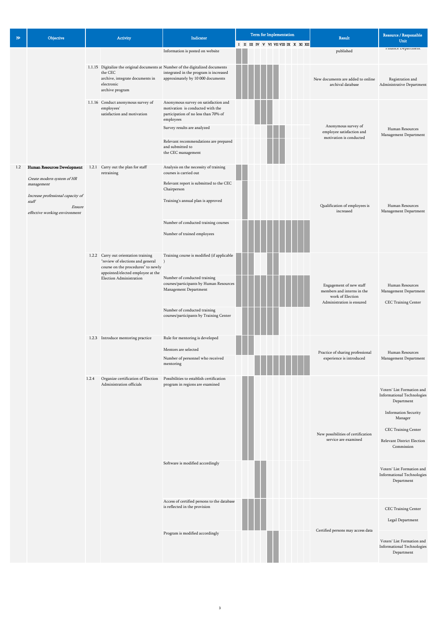|                                                                              |                                   | Voters' List Formation and<br><b>Informational Technologies</b><br>Department |
|------------------------------------------------------------------------------|-----------------------------------|-------------------------------------------------------------------------------|
| Access of certified persons to the database<br>is reflected in the provision | Certified persons may access data | CEC Training Center<br>Legal Department                                       |
| Program is modified accordingly                                              |                                   | Voters' List Formation and<br><b>Informational Technologies</b><br>Department |

| $N^{\circ}$ | Objective                                                                                                                                                        | Activity |                                                                                                                                                                                  | Indicator                                                                                                                                                                                                                                       | <b>Term for Implementation</b><br>I II III IV V VI VII VIII IX X XI XII | Result                                                                                                 | Resource / Responsible<br>Unit                                                                                                                                                             |
|-------------|------------------------------------------------------------------------------------------------------------------------------------------------------------------|----------|----------------------------------------------------------------------------------------------------------------------------------------------------------------------------------|-------------------------------------------------------------------------------------------------------------------------------------------------------------------------------------------------------------------------------------------------|-------------------------------------------------------------------------|--------------------------------------------------------------------------------------------------------|--------------------------------------------------------------------------------------------------------------------------------------------------------------------------------------------|
|             |                                                                                                                                                                  |          |                                                                                                                                                                                  | Information is posted on website                                                                                                                                                                                                                |                                                                         | published                                                                                              | гшансе перациент                                                                                                                                                                           |
|             |                                                                                                                                                                  |          | the CEC<br>archive, integrate documents in<br>electronic<br>archive program                                                                                                      | 1.1.15 Digitalize the original documents at Number of the digitalized documents<br>integrated in the program is increased<br>approximately by 10 000 documents                                                                                  |                                                                         | New documents are added to online<br>archival database                                                 | Registration and<br>Administrative Department                                                                                                                                              |
|             |                                                                                                                                                                  |          | 1.1.16 Conduct anonymous survey of<br>employees'<br>satisfaction and motivation                                                                                                  | Anonymous survey on satisfaction and<br>motivation is conducted with the<br>participation of no less than 70% of<br>employees<br>Survey results are analyzed<br>Relevant recommendations are prepared<br>and submitted to<br>the CEC management |                                                                         | Anonymous survey of<br>employee satisfaction and<br>motivation is conducted                            | Human Resources<br>Management Department                                                                                                                                                   |
| 1.2         | Human Resources Development<br>Create modern system of HR<br>management<br>Increase professional capacity of<br>staff<br>Ensure<br>effective working environment |          | 1.2.1 Carry out the plan for staff<br>retraining                                                                                                                                 | Analysis on the necessity of training<br>courses is carried out<br>Relevant report is submitted to the CEC<br>Chairperson<br>Training's annual plan is approved<br>Number of conducted training courses<br>Number of trained employees          |                                                                         | Qualification of employees is<br>increased                                                             | Human Resources<br>Management Department                                                                                                                                                   |
|             |                                                                                                                                                                  |          | 1.2.2 Carry out orientation training<br>"review of elections and general )<br>course on the procedures" to newly<br>appointed/elected employee at the<br>Election Administration | Training course is modified (if applicable<br>Number of conducted training<br>courses/participants by Human Resources<br>Management Department<br>Number of conducted training<br>courses/participants by Training Center                       |                                                                         | Engagement of new staff<br>members and interns in the<br>work of Election<br>Administration is ensured | Human Resources<br>Management Department<br>CEC Training Center                                                                                                                            |
|             |                                                                                                                                                                  |          | 1.2.3 Introduce mentoring practice                                                                                                                                               | Rule for mentoring is developed<br>Mentors are selected<br>Number of personnel who received<br>mentoring                                                                                                                                        |                                                                         | Practice of sharing professional<br>experience is introduced                                           | Human Resources<br>Management Department                                                                                                                                                   |
|             |                                                                                                                                                                  | 1.2.4    | Organize certification of Election<br>Administration officials                                                                                                                   | Possibilities to establish certification<br>program in regions are examined<br>Software is modified accordingly                                                                                                                                 |                                                                         | New possibilities of certification<br>service are examined                                             | Voters' List Formation and<br><b>Informational Technologies</b><br>Department<br><b>Information Security</b><br>Manager<br>CEC Training Center<br>Relevant District Election<br>Commission |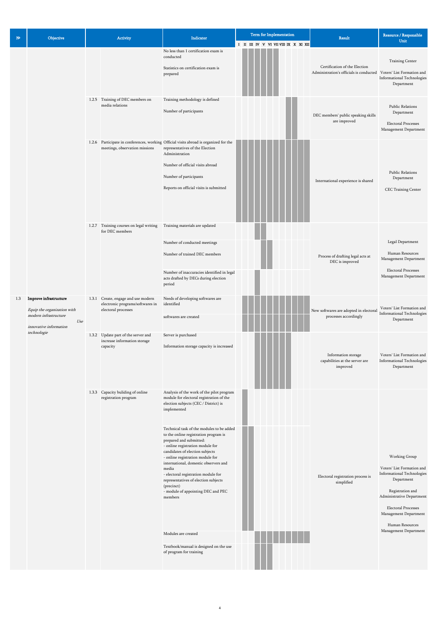| $N^{\circ}$ | Objective                                                                                                       | Activity                                                                                       | Indicator                                                                                                                                                                                                                                                                                                                                                                                                                   | <b>Term for Implementation</b><br>I II III IV V VI VII VIII IX X XI XII | Result                                                                                              | Resource / Responsible<br>Unit                                                                               |
|-------------|-----------------------------------------------------------------------------------------------------------------|------------------------------------------------------------------------------------------------|-----------------------------------------------------------------------------------------------------------------------------------------------------------------------------------------------------------------------------------------------------------------------------------------------------------------------------------------------------------------------------------------------------------------------------|-------------------------------------------------------------------------|-----------------------------------------------------------------------------------------------------|--------------------------------------------------------------------------------------------------------------|
|             |                                                                                                                 |                                                                                                | No less than 1 certification exam is<br>conducted<br>Statistics on certification exam is<br>prepared                                                                                                                                                                                                                                                                                                                        |                                                                         | Certification of the Election<br>Administration's officials is conducted Voters' List Formation and | Training Center<br><b>Informational Technologies</b><br>Department                                           |
|             |                                                                                                                 | 1.2.5 Training of DEC members on<br>media relations                                            | Training methodology is defined<br>Number of participants                                                                                                                                                                                                                                                                                                                                                                   |                                                                         | DEC members' public speaking skills<br>are improved                                                 | <b>Public Relations</b><br>Department<br><b>Electoral Processes</b><br>Management Department                 |
|             |                                                                                                                 | meetings, observation missions                                                                 | 1.2.6 Participate in conferences, working Official visits abroad is organized for the<br>representatives of the Election<br>Administration<br>Number of official visits abroad<br>Number of participants<br>Reports on official visits is submitted                                                                                                                                                                         |                                                                         | International experience is shared                                                                  | <b>Public Relations</b><br>Department<br>CEC Training Center                                                 |
|             |                                                                                                                 | 1.2.7 Training courses on legal writing<br>for DEC members                                     | Training materials are updated<br>Number of conducted meetings<br>Number of trained DEC members<br>Number of inaccuracies identified in legal<br>acts drafted by DECs during election<br>period                                                                                                                                                                                                                             |                                                                         | Process of drafting legal acts at<br>DEC is improved                                                | Legal Department<br>Human Resources<br>Management Department<br>Electoral Processes<br>Management Department |
| 1.3         | Improve infrastructure<br>Equip the organization with<br>modern infrastructure<br>Use<br>innovative information | 1.3.1 Create, engage and use modern<br>electronic programs/softwares in<br>electoral processes | Needs of developing softwares are<br>identified<br>softwares are created                                                                                                                                                                                                                                                                                                                                                    |                                                                         | New softwares are adopted in electoral<br>processes accordingly                                     | Voters' List Formation and<br><b>Informational Technologies</b><br>Department                                |
|             | technologie                                                                                                     | 1.3.2 Update part of the server and<br>increase information storage<br>capacity                | Server is purchased<br>Information storage capacity is increased                                                                                                                                                                                                                                                                                                                                                            |                                                                         | Information storage<br>capabilities at the server are<br>improved                                   | Voters' List Formation and<br><b>Informational Technologies</b><br>$Department \\$                           |
|             |                                                                                                                 | 1.3.3 Capacity buliding of online<br>registration program                                      | Analysis of the work of the pilot program<br>module for electoral registration of the<br>election subjects (CEC / District) is<br>implemented<br>Technical task of the modules to be added<br>to the online registration program is<br>prepared and submitted:<br>- online registration module for<br>candidates of election subjects<br>- online registration module for<br>international, domestic observers and<br>media |                                                                         |                                                                                                     | Working Group<br>Voters' List Formation and                                                                  |

| - electoral registration module for<br>representatives of election subjects<br>(precinct) | Electoral registration process is<br>simplified | <b>Informational Technologies</b><br>Department |
|-------------------------------------------------------------------------------------------|-------------------------------------------------|-------------------------------------------------|
| - module of appointing DEC and PEC                                                        |                                                 | Registration and                                |
| members                                                                                   |                                                 | Administrative Department                       |
|                                                                                           |                                                 | <b>Electoral Processes</b>                      |
|                                                                                           |                                                 | Management Department                           |
|                                                                                           |                                                 | Human Resources                                 |
| Modules are created                                                                       |                                                 | Management Department                           |
| Textbook/manual is designed on the use<br>of program for training                         |                                                 |                                                 |
|                                                                                           |                                                 |                                                 |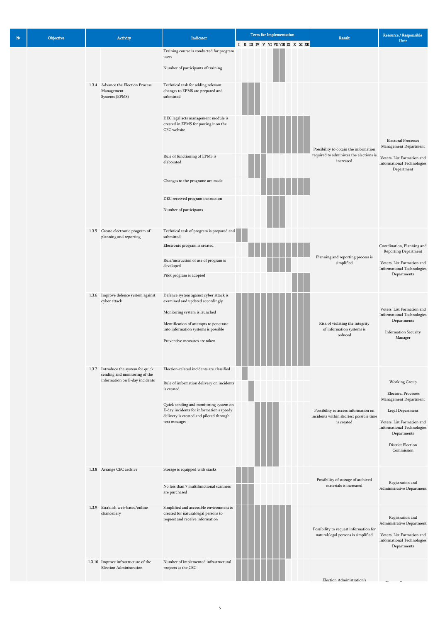| N <sup>2</sup> | Objective | Activity |                                                                        | Indicator                                                                                                                     | <b>Term for Implementation</b>        | Result                                                                          | Resource / Responsible<br>Unit                                                                              |
|----------------|-----------|----------|------------------------------------------------------------------------|-------------------------------------------------------------------------------------------------------------------------------|---------------------------------------|---------------------------------------------------------------------------------|-------------------------------------------------------------------------------------------------------------|
|                |           |          |                                                                        | Training course is conducted for program<br>users                                                                             | I II III IV V VI VII VIII IX X XI XII |                                                                                 |                                                                                                             |
|                |           |          |                                                                        | Number of participants of training                                                                                            |                                       |                                                                                 |                                                                                                             |
|                |           |          | 1.3.4 Advance the Election Process<br>Management<br>Systems (EPMS)     | Technical task for adding relevant<br>changes to EPMS are prepared and<br>submitted                                           |                                       |                                                                                 |                                                                                                             |
|                |           |          |                                                                        | DEC legal acts management module is<br>created in EPMS for posting it on the<br>CEC website                                   |                                       | Possibility to obtain the information                                           | Electoral Processes<br>Management Department                                                                |
|                |           |          |                                                                        | Rule of functioning of EPMS is<br>elaborated                                                                                  |                                       | required to administer the elections is<br>increased                            | Voters' List Formation and<br><b>Informational Technologies</b><br>Department                               |
|                |           |          |                                                                        | Changes to the programe are made                                                                                              |                                       |                                                                                 |                                                                                                             |
|                |           |          |                                                                        | DEC received program instruction<br>Number of participants                                                                    |                                       |                                                                                 |                                                                                                             |
|                |           |          | 1.3.5 Create electronic program of<br>planning and reporting           | Technical task of program is prepared and<br>submitted                                                                        |                                       |                                                                                 |                                                                                                             |
|                |           |          |                                                                        | Electronic program is created                                                                                                 |                                       |                                                                                 | Coordination, Planning and<br>Reporting Department                                                          |
|                |           |          |                                                                        | Rule/instruction of use of program is<br>developed                                                                            |                                       | Planning and reporting process is<br>simplified                                 | Voters' List Formation and<br><b>Informational Technologies</b>                                             |
|                |           |          |                                                                        | Pilot program is adopted                                                                                                      |                                       |                                                                                 | Departments                                                                                                 |
|                |           |          | 1.3.6 Improve defence system against<br>cyber attack                   | Defence system against cyber attack is<br>examined and updated accordingly<br>Monitoring system is launched                   |                                       |                                                                                 | Voters' List Formation and                                                                                  |
|                |           |          |                                                                        | Identification of attempts to penetrate<br>into information systems is possible                                               |                                       | Risk of violating the integrity<br>of information systems is                    | <b>Informational Technologies</b><br>Departments                                                            |
|                |           |          |                                                                        | Preventive measures are taken                                                                                                 |                                       | reduced                                                                         | <b>Information Security</b><br>Manager                                                                      |
|                |           |          | 1.3.7 Introduce the system for quick<br>sending and monitoring of the  | Election-related incidents are classified                                                                                     |                                       |                                                                                 |                                                                                                             |
|                |           |          | information on E-day incidents                                         | Rule of information delivery on incidents<br>is created                                                                       |                                       |                                                                                 | Working Group<br>Electoral Processes                                                                        |
|                |           |          |                                                                        | Quick sending and monitoring system on<br>E-day incidents for information's speedy<br>delivery is created and piloted through |                                       | Possibility to access information on<br>incidents within shortest possible time | Management Department<br>Legal Department                                                                   |
|                |           |          |                                                                        | text messages                                                                                                                 |                                       | is created                                                                      | Voters' List Formation and<br><b>Informational Technologies</b><br>Departments                              |
|                |           |          |                                                                        |                                                                                                                               |                                       |                                                                                 | District Election<br>Commission                                                                             |
|                |           |          | 1.3.8 Arrange CEC archive                                              | Storage is equipped with stacks                                                                                               |                                       |                                                                                 |                                                                                                             |
|                |           |          |                                                                        | No less than 7 multifunctional scanners<br>are purchased                                                                      |                                       | Possibility of storage of archived<br>materials is increased                    | Registration and<br>Administrative Department                                                               |
|                |           |          | 1.3.9 Establish web-based/online<br>chancellery                        | Simplified and accessible environment is<br>created for natural/legal persons to<br>request and receive information           |                                       |                                                                                 | Registration and                                                                                            |
|                |           |          |                                                                        |                                                                                                                               |                                       | Possibility to request information for<br>natural/legal persons is simplified   | Administrative Department<br>Voters' List Formation and<br><b>Informational Technologies</b><br>Departments |
|                |           |          | 1.3.10 Improve infrastructure of the<br><b>Election Administration</b> | Number of implemented infrastructural<br>projects at the CEC                                                                  |                                       |                                                                                 |                                                                                                             |
|                |           |          |                                                                        |                                                                                                                               |                                       | Election Administration's                                                       |                                                                                                             |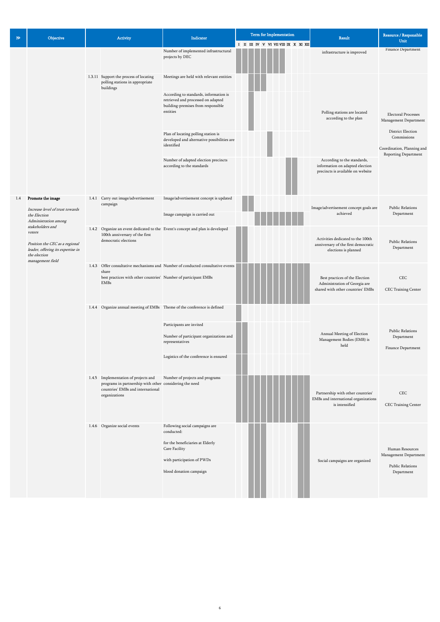| $N^{\circ}$ | Objective                                                                                                                             | Activity |                                                                                                                                                       | Indicator                                                                                                                      | Term for Implementation<br>I II III IV V VI VII VII IX X XI XII | <b>Result</b>                                                                                        | Resource / Responsible<br>Unit                                                         |
|-------------|---------------------------------------------------------------------------------------------------------------------------------------|----------|-------------------------------------------------------------------------------------------------------------------------------------------------------|--------------------------------------------------------------------------------------------------------------------------------|-----------------------------------------------------------------|------------------------------------------------------------------------------------------------------|----------------------------------------------------------------------------------------|
|             |                                                                                                                                       |          |                                                                                                                                                       | Number of implemented infrastructural<br>projects by DEC                                                                       |                                                                 | infrastructure is improved                                                                           | Finance Department                                                                     |
|             |                                                                                                                                       |          | 1.3.11 Support the process of locating<br>polling stations in appropriate<br>buildings                                                                | Meetings are held with relevant entities                                                                                       |                                                                 |                                                                                                      |                                                                                        |
|             |                                                                                                                                       |          |                                                                                                                                                       | According to standards, information is<br>retrieved and processed on adapted<br>building-premises from responsible<br>entities |                                                                 | Polling stations are located<br>according to the plan                                                | <b>Electoral Processes</b><br>Management Department                                    |
|             |                                                                                                                                       |          |                                                                                                                                                       | Plan of locating polling station is<br>developed and alternative possibilities are<br>identified                               |                                                                 |                                                                                                      | District Election<br>Commissions<br>Coordination, Planning and<br>Reporting Department |
|             |                                                                                                                                       |          |                                                                                                                                                       | Number of adapted election precincts<br>according to the standards                                                             |                                                                 | According to the standards,<br>information on adapted election<br>precincts is available on website  |                                                                                        |
| 1.4         | Promote the image<br>Increase level of trust towards<br>the Election<br>Administration among                                          |          | 1.4.1 Carry out image/advertisement<br>campaign                                                                                                       | Image/advertisement concept is updated<br>Image campaign is carried out                                                        |                                                                 | Image/advertisement concept goals are<br>achieved                                                    | <b>Public Relations</b><br>Department                                                  |
|             | stakeholders and<br>voters<br>Position the CEC as a regional<br>leader, offering its expertise in<br>the election<br>management field |          | 100th anniversary of the first<br>democratic elections                                                                                                | 1.4.2 Organize an event dedicated to the Event's concept and plan is developed                                                 |                                                                 | Activities dedicated to the 100th<br>anniversary of the first democratic<br>elections is planned     | <b>Public Relations</b><br>Department                                                  |
|             |                                                                                                                                       |          | share<br>best practices with other countries' Number of participant EMBs<br>EMBs                                                                      | 1.4.3 Offer consultative mechanisms and Number of conducted consultative events                                                |                                                                 | Best practices of the Election<br>Administration of Georgia are<br>shared with other countries' EMBs | CEC<br>CEC Training Center                                                             |
|             |                                                                                                                                       |          | 1.4.4 Organize annual meeting of EMBs Theme of the conference is defined                                                                              |                                                                                                                                |                                                                 |                                                                                                      |                                                                                        |
|             |                                                                                                                                       |          |                                                                                                                                                       | Participants are invited<br>Number of participant organizations and<br>representatives                                         |                                                                 | Annual Meeting of Election<br>Management Bodies (EMB) is<br>held                                     | Public Relations<br>Department<br>Finance Department                                   |
|             |                                                                                                                                       |          |                                                                                                                                                       | Logistics of the conference is ensured                                                                                         |                                                                 |                                                                                                      |                                                                                        |
|             |                                                                                                                                       |          | 1.4.5 Implementation of projects and<br>programs in partnership with other considering the need<br>countries' EMBs and international<br>organizations | Number of projects and programs                                                                                                |                                                                 | Partnership with other countries'<br>EMBs and international organizations<br>is intensified          | $\mbox{CEC}$<br>CEC Training Center                                                    |
|             |                                                                                                                                       |          | 1.4.6 Organize social events                                                                                                                          | Following social campaigns are<br>conducted:                                                                                   |                                                                 |                                                                                                      |                                                                                        |
|             |                                                                                                                                       |          |                                                                                                                                                       | for the beneficiaries at Elderly<br>Care Facility<br>with participation of PWDs                                                |                                                                 | Social campaigns are organized                                                                       | Human Resources<br>Management Department<br>Public Relations                           |

| blood donation campaign | Department |
|-------------------------|------------|
|                         |            |
|                         |            |
|                         |            |
|                         |            |
|                         |            |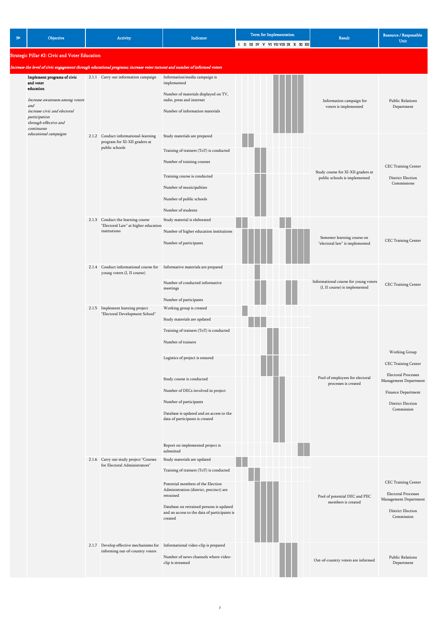| $N^{\circ}$ | Objective                                      |  | Activity                                                                                                                  | <b>Indicator</b>                                                            | Term for Implementation               | Result                                                                 | Resource / Responsible                              |
|-------------|------------------------------------------------|--|---------------------------------------------------------------------------------------------------------------------------|-----------------------------------------------------------------------------|---------------------------------------|------------------------------------------------------------------------|-----------------------------------------------------|
|             |                                                |  |                                                                                                                           |                                                                             | I II III IV V VI VII VIII IX X XI XII |                                                                        | Unit                                                |
|             | Strategic Pillar #2: Civic and Voter Education |  |                                                                                                                           |                                                                             |                                       |                                                                        |                                                     |
|             |                                                |  | Increase the level of civic engagement through educational programs; increase voter turnout and number of informed voters |                                                                             |                                       |                                                                        |                                                     |
|             | Implement programs of civic                    |  | 2.1.1 Carry out information campaign                                                                                      | Information/media campaign is                                               |                                       |                                                                        |                                                     |
|             | and voter<br>education                         |  |                                                                                                                           | implemented                                                                 |                                       |                                                                        |                                                     |
|             | Increase awareness among voters                |  |                                                                                                                           | Number of materials displayed on TV,<br>radio, press and internet           |                                       | Information campaign for                                               | <b>Public Relations</b>                             |
|             | and<br>increase civic and electoral            |  |                                                                                                                           | Number of information materials                                             |                                       | voters is implemented                                                  | Department                                          |
|             | participation<br>through effective and         |  |                                                                                                                           |                                                                             |                                       |                                                                        |                                                     |
|             | continuous                                     |  |                                                                                                                           |                                                                             |                                       |                                                                        |                                                     |
|             | educational campaigns                          |  | 2.1.2 Conduct informational-learning<br>program for XI-XII graders at                                                     | Study materials are prepared                                                |                                       |                                                                        |                                                     |
|             |                                                |  | public schools                                                                                                            | Training of trainers (ToT) is conducted                                     |                                       |                                                                        |                                                     |
|             |                                                |  |                                                                                                                           | Number of training courses                                                  |                                       |                                                                        |                                                     |
|             |                                                |  |                                                                                                                           |                                                                             |                                       | Study course for XI-XII graders at                                     | CEC Training Center                                 |
|             |                                                |  |                                                                                                                           | Training course is conducted                                                |                                       | public schools is implemented                                          | District Election<br>Commissions                    |
|             |                                                |  |                                                                                                                           | Number of municipalities                                                    |                                       |                                                                        |                                                     |
|             |                                                |  |                                                                                                                           | Number of public schools                                                    |                                       |                                                                        |                                                     |
|             |                                                |  |                                                                                                                           | Number of students                                                          |                                       |                                                                        |                                                     |
|             |                                                |  | 2.1.3 Conduct the learning course<br>"Electoral Law" at higher education                                                  | Study material is elaborated                                                |                                       |                                                                        |                                                     |
|             |                                                |  | institutions                                                                                                              | Number of higher education institutions                                     |                                       | Semester learning course on                                            |                                                     |
|             |                                                |  |                                                                                                                           | Number of participants                                                      |                                       | "electoral law" is implemented                                         | CEC Training Center                                 |
|             |                                                |  |                                                                                                                           |                                                                             |                                       |                                                                        |                                                     |
|             |                                                |  | 2.1.4 Conduct informational course for Informative materials are prepared                                                 |                                                                             |                                       |                                                                        |                                                     |
|             |                                                |  | young voters (I, II course)                                                                                               | Number of conducted informative                                             |                                       | Informational course for young voters<br>(I, II course) is implemented |                                                     |
|             |                                                |  |                                                                                                                           | meetings                                                                    |                                       |                                                                        | CEC Training Center                                 |
|             |                                                |  |                                                                                                                           | Number of participants                                                      |                                       |                                                                        |                                                     |
|             |                                                |  | 2.1.5 Implement learning project<br>"Electoral Development School"                                                        | Working group is created                                                    |                                       |                                                                        |                                                     |
|             |                                                |  |                                                                                                                           | Study materials are updated                                                 |                                       |                                                                        |                                                     |
|             |                                                |  |                                                                                                                           | Training of trainers (ToT) is conducted                                     |                                       |                                                                        |                                                     |
|             |                                                |  |                                                                                                                           | Number of trainers                                                          |                                       |                                                                        |                                                     |
|             |                                                |  |                                                                                                                           | Logistics of project is ensured                                             |                                       |                                                                        | Working Group                                       |
|             |                                                |  |                                                                                                                           |                                                                             |                                       |                                                                        | CEC Training Center                                 |
|             |                                                |  |                                                                                                                           | Study course is conducted                                                   |                                       | Pool of employees for electoral                                        | Electoral Processes                                 |
|             |                                                |  |                                                                                                                           | Number of DECs involved in project                                          |                                       | processes is created                                                   | Management Department                               |
|             |                                                |  |                                                                                                                           |                                                                             |                                       |                                                                        | Finance Department                                  |
|             |                                                |  |                                                                                                                           | Number of participants                                                      |                                       |                                                                        | District Election<br>Commission                     |
|             |                                                |  |                                                                                                                           | Database is updated and an access to the<br>data of participants is created |                                       |                                                                        |                                                     |
|             |                                                |  |                                                                                                                           |                                                                             |                                       |                                                                        |                                                     |
|             |                                                |  |                                                                                                                           |                                                                             |                                       |                                                                        |                                                     |
|             |                                                |  |                                                                                                                           | Report on implemented project is<br>submitted                               |                                       |                                                                        |                                                     |
|             |                                                |  | 2.1.6 Carry out study project "Courses<br>for Electoral Administrators"                                                   | Study materials are updated                                                 |                                       |                                                                        |                                                     |
|             |                                                |  |                                                                                                                           | Training of trainers (ToT) is conducted                                     |                                       |                                                                        |                                                     |
|             |                                                |  |                                                                                                                           | Potential members of the Election                                           |                                       |                                                                        | CEC Training Center                                 |
|             |                                                |  |                                                                                                                           | Administration (district, precinct) are<br>retrained                        |                                       | Pool of potential DEC and PEC                                          | <b>Electoral Processes</b><br>Management Department |
|             |                                                |  |                                                                                                                           | Database on retrained persons is updated                                    |                                       | members is created                                                     |                                                     |
|             |                                                |  |                                                                                                                           | and an access to the data of participants is<br>created                     |                                       |                                                                        | District Election<br>Commission                     |
|             |                                                |  |                                                                                                                           |                                                                             |                                       |                                                                        |                                                     |
|             |                                                |  |                                                                                                                           |                                                                             |                                       |                                                                        |                                                     |
|             |                                                |  | informing out-of-country voters                                                                                           | 2.1.7 Develop effective mechanisms for Informational video-clip is prepared |                                       |                                                                        |                                                     |
|             |                                                |  |                                                                                                                           | Number of news channels where video-<br>clip is streamed                    |                                       | Out-of-country voters are informed                                     | <b>Public Relations</b><br>Department               |
|             |                                                |  |                                                                                                                           |                                                                             |                                       |                                                                        |                                                     |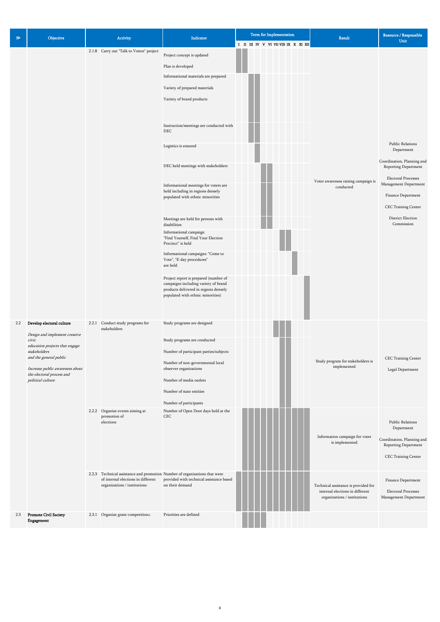| $N^{\circ}$ | Objective                                                                                                                                                                                                                            | Activity                                                     | Indicator                                                                                                                                                                                                                                                                                                                                                                                                                                                                                                                                                                                                                                                                                                                                                                        | Term for Implementation              | Result                                           | Resource / Responsible<br>Unit                                                                                                                                                                                                     |
|-------------|--------------------------------------------------------------------------------------------------------------------------------------------------------------------------------------------------------------------------------------|--------------------------------------------------------------|----------------------------------------------------------------------------------------------------------------------------------------------------------------------------------------------------------------------------------------------------------------------------------------------------------------------------------------------------------------------------------------------------------------------------------------------------------------------------------------------------------------------------------------------------------------------------------------------------------------------------------------------------------------------------------------------------------------------------------------------------------------------------------|--------------------------------------|--------------------------------------------------|------------------------------------------------------------------------------------------------------------------------------------------------------------------------------------------------------------------------------------|
|             |                                                                                                                                                                                                                                      | 2.1.8 Carry out "Talk to Voters" project                     | Project concept is updated<br>Plan is developed<br>Informational materials are prepared<br>Variety of prepared materials<br>Variety of brand products<br>Instruction/meetings are conducted with<br>DEC<br>Logistics is ensured<br>DEC held meetings with stakeholders<br>Informational meetings for voters are<br>held including in regions densely<br>populated with ethnic minorities<br>Meetings are held for persons with<br>disabilities<br>Informational campaign<br>"Find Yourself, Find Your Election<br>Precinct" is held<br>Informational campaigns: "Come to<br>Vote", "E-day procedures"<br>are held<br>Project report is prepared (number of<br>campaigns including variety of brand<br>products delivered in regions densely<br>populated with ethnic minorities) | I II III IV V VI VII VII IX X XI XII | Voter awareness raising campaign is<br>conducted | <b>Public Relations</b><br>Department<br>Coordination, Planning and<br>Reporting Department<br><b>Electoral Processes</b><br>Management Department<br>Finance Department<br>CEC Training Center<br>District Election<br>Commission |
| 2.2         | Develop electoral culture<br>Design and implement creative<br>civic<br>education projects that engage<br>stakeholders<br>and the general public<br>Increase public awareness about<br>the electoral process and<br>political culture | 2.2.1 Conduct study programs for<br>stakeholders             | Study programs are designed<br>Study programs are conducted<br>Number of participant parties/subjects<br>Number of non-governmental local<br>observer organizations<br>Number of media outlets<br>Number of state entities<br>Number of participants                                                                                                                                                                                                                                                                                                                                                                                                                                                                                                                             |                                      | Study program for stakeholders is<br>implemented | CEC Training Center<br>Legal Department                                                                                                                                                                                            |
|             |                                                                                                                                                                                                                                      | 2.2.2 Organize events aiming at<br>promotion of<br>elections | Number of Open Door days held at the<br><b>CEC</b>                                                                                                                                                                                                                                                                                                                                                                                                                                                                                                                                                                                                                                                                                                                               |                                      | Information campaign for voter<br>is implemented | <b>Public Relations</b><br>Department<br>Coordination, Planning and<br>Reporting Department                                                                                                                                        |

CEC Training Center

|     |                              |                                    | 2.2.3 Technical assistance and promotion Number of organizations that were |  |  |  |                                      |                            |
|-----|------------------------------|------------------------------------|----------------------------------------------------------------------------|--|--|--|--------------------------------------|----------------------------|
|     |                              | of internal elections in different | provided with technical assistance based                                   |  |  |  |                                      | Finance Department         |
|     |                              | organizations / institutions       | on their demand                                                            |  |  |  | Technical assistance is provided for |                            |
|     |                              |                                    |                                                                            |  |  |  | internal elections in different      | <b>Electoral Processes</b> |
|     |                              |                                    |                                                                            |  |  |  | organizations / institutions         | Management Department      |
|     |                              |                                    |                                                                            |  |  |  |                                      |                            |
| 2.3 | <b>Promote Civil Society</b> | 2.3.1 Organize grant competitions  | Priorities are defined                                                     |  |  |  |                                      |                            |
|     | Engagement                   |                                    |                                                                            |  |  |  |                                      |                            |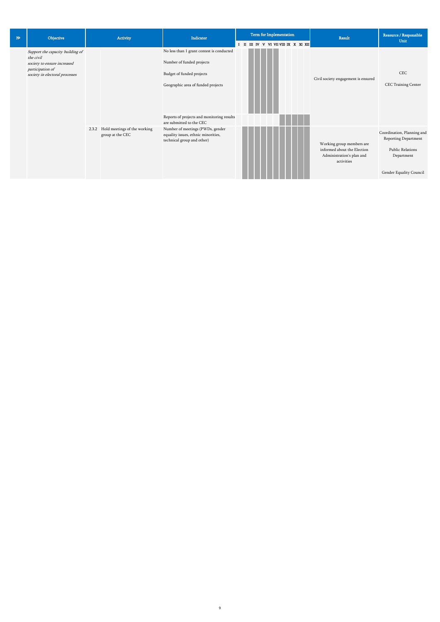| N <sup>2</sup> | Objective                                                                                                                          | Activity                                               | Indicator                                                                                                                                                                                                           |  | <b>Term for Implementation</b><br>I II III IV V VI VII VIII IX X XI XII |  |  |  | Result                                                                                              | Resource / Responsible<br>Unit                                                                                         |
|----------------|------------------------------------------------------------------------------------------------------------------------------------|--------------------------------------------------------|---------------------------------------------------------------------------------------------------------------------------------------------------------------------------------------------------------------------|--|-------------------------------------------------------------------------|--|--|--|-----------------------------------------------------------------------------------------------------|------------------------------------------------------------------------------------------------------------------------|
|                | Support the capacity building of<br>the civil<br>society to ensure increased<br>participation of<br>society in electoral processes |                                                        | No less than 1 grant contest is conducted<br>Number of funded projects<br>Budget of funded projects<br>Geographic area of funded projects<br>Reports of projects and monitoring results<br>are submitted to the CEC |  |                                                                         |  |  |  | Civil society engagement is ensured                                                                 | <b>CEC</b><br>CEC Training Center                                                                                      |
|                |                                                                                                                                    | 2.3.2 Hold meetings of the working<br>group at the CEC | Number of meetings (PWDs, gender<br>equality issues, ethnic minorities,<br>technical group and other)                                                                                                               |  |                                                                         |  |  |  | Working group members are<br>informed about the Election<br>Administration's plan and<br>activities | Coordination, Planning and<br>Reporting Department<br><b>Public Relations</b><br>Department<br>Gender Equality Council |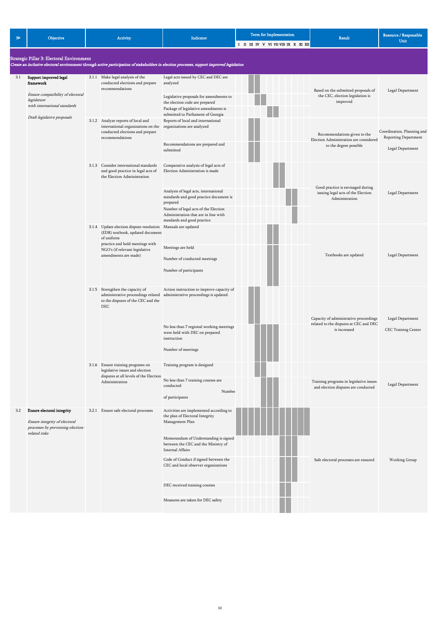| $N^{\circ}$ | Objective                                                                                                                |  | Activity                                                                                                                                                                                                    | Indicator                                                                                                                                                                                                                                                                                 | <b>Term for Implementation</b>        | <b>Result</b>                                                                                    | Resource / Responsible<br>Unit                                         |
|-------------|--------------------------------------------------------------------------------------------------------------------------|--|-------------------------------------------------------------------------------------------------------------------------------------------------------------------------------------------------------------|-------------------------------------------------------------------------------------------------------------------------------------------------------------------------------------------------------------------------------------------------------------------------------------------|---------------------------------------|--------------------------------------------------------------------------------------------------|------------------------------------------------------------------------|
|             | Strategic Pillar 3: Electoral Environment                                                                                |  |                                                                                                                                                                                                             | Create an inclusive electoral environment through active participation of stakeholders in election processes, support improved legislation                                                                                                                                                | I II III IV V VI VII VIII IX X XI XII |                                                                                                  |                                                                        |
| 3.1         | Support improved legal<br>framework<br>Ensure compatibility of electoral<br>legislature<br>with international standards  |  | 3.1.1 Make legal analysis of the<br>conducted elections and prepare<br>recommendations                                                                                                                      | Legal acts issued by CEC and DEC are<br>analyzed<br>Legislative proposals for amendments to<br>the election code are prepared<br>Package of legislative amendments is                                                                                                                     |                                       | Based on the submitted proposals of<br>the CEC, election legislation is<br>improved              | Legal Department                                                       |
|             | Draft legislative proposals                                                                                              |  | 3.1.2 Analyze reports of local and<br>international organizations on the<br>conducted elections and prepare<br>recommendations                                                                              | submitted to Parliament of Georgia<br>Reports of local and international<br>organizations are analyzed<br>Recommendations are prepared and<br>submitted                                                                                                                                   |                                       | Recommendations given to the<br>Election Administration are considered<br>to the degree possible | Coordination, Planning and<br>Reporting Department<br>Legal Department |
|             |                                                                                                                          |  | 3.1.3 Consider international standards<br>and good practice in legal acts of<br>the Election Administration                                                                                                 | Comparative analysis of legal acts of<br>Election Administration is made<br>Analysis of legal acts, international<br>standards and good practice document is<br>prepared<br>Number of legal acts of the Election<br>Administration that are in line with<br>standards and good practice   |                                       | Good practice is envisaged during<br>issuing legal acts of the Election<br>Administration        | Legal Department                                                       |
|             |                                                                                                                          |  | 3.1.4 Update election dispute resolution Manuals are updated<br>(EDR) textbook, updated document<br>of uniform<br>practice and hold meetings with<br>NGO's (if relevant legislative<br>amendments are made) | Meetings are held<br>Number of conducted meetings<br>Number of participants                                                                                                                                                                                                               |                                       | Textbooks are updated                                                                            | Legal Department                                                       |
|             |                                                                                                                          |  | 3.1.5 Strengthen the capacity of<br>administrative proceedings related<br>to the disputes of the CEC and the<br>DEC                                                                                         | Action instruction to improve capacity of<br>administrative proceedings is updated<br>No less than 7 regional working meetings<br>were held with DEC on prepared<br>instruction<br>Number of meetings                                                                                     |                                       | Capacity of administrative proceedings<br>related to the disputes at CEC and DEC<br>is increased | Legal Department<br>CEC Training Center                                |
|             |                                                                                                                          |  | 3.1.6 Ensure training programs on<br>legislative issues and election<br>disputes at all levels of the Election<br>Administration                                                                            | Training program is designed<br>No less than 7 training courses are<br>conducted<br>Number<br>of participants                                                                                                                                                                             |                                       | Training programs in legislative issues<br>and election disputes are conducted                   | Legal Department                                                       |
| 3.2         | <b>Ensure electoral integrity</b><br>Ensure integrity of electoral<br>processes by preventing election-<br>related risks |  | 3.2.1 Ensure safe electoral processes                                                                                                                                                                       | Activities are implemented according to<br>the plan of Electoral Integrity<br>Management Plan<br>Memorandum of Understanding is signed<br>between the CEC and the Ministry of<br><b>Internal Affairs</b><br>Code of Conduct if signed between the<br>CEC and local observer organizations |                                       | Safe electoral processes are ensured                                                             | Working Group                                                          |

**TELEVISION** DEC received training courses I. Measures are taken for DEC safety **I**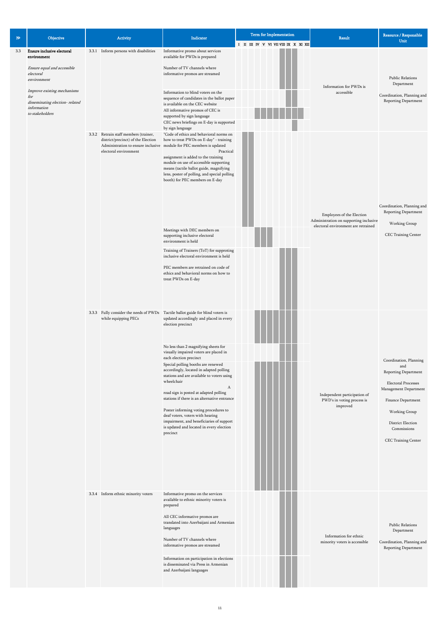| ${\bf N^o}$ | Objective                                                                                                                                                                                                             | Activity                                                                                                                                       | Indicator                                                                                                                                                                                                                                                                                                                                                                                                                                                                                                                                                                                                                                                                                                                                                                                                                                                                                                                                                                                                                                                                       | Term for Implementation              | <b>Result</b>                                                                                                                                       | Resource / Responsible<br>Unit                                                                                                                                                                          |
|-------------|-----------------------------------------------------------------------------------------------------------------------------------------------------------------------------------------------------------------------|------------------------------------------------------------------------------------------------------------------------------------------------|---------------------------------------------------------------------------------------------------------------------------------------------------------------------------------------------------------------------------------------------------------------------------------------------------------------------------------------------------------------------------------------------------------------------------------------------------------------------------------------------------------------------------------------------------------------------------------------------------------------------------------------------------------------------------------------------------------------------------------------------------------------------------------------------------------------------------------------------------------------------------------------------------------------------------------------------------------------------------------------------------------------------------------------------------------------------------------|--------------------------------------|-----------------------------------------------------------------------------------------------------------------------------------------------------|---------------------------------------------------------------------------------------------------------------------------------------------------------------------------------------------------------|
| 3.3         | <b>Ensure inclusive electoral</b><br>environment<br>Ensure equal and accessible<br>electoral<br>environment<br>Improve existing mechanisms<br>for<br>disseminating election-related<br>information<br>to stakeholders | 3.3.1 Inform persons with disabilities<br>3.3.2 Retrain staff members (trainer,<br>district/precinct) of the Election<br>electoral environment | Informative promo about services<br>available for PWDs is prepared<br>Number of TV channels where<br>informative promos are streamed<br>Information to blind voters on the<br>sequence of candidates in the ballot paper<br>is available on the CEC website<br>All informative promos of CEC is<br>supported by sign language<br>CEC news briefings on E-day is supported<br>by sign language<br>"Code of ethics and behavioral norms on<br>how to treat PWDs on E-day" - training<br>Administration to ensure inclusive module for PEC members is updated<br>Practical<br>assignment is added to the training<br>module on use of accessible supporting<br>means (tactile ballot guide, magnifying<br>lens, poster of polling, and special polling<br>booth) for PEC members on E-day<br>Meetings with DEC members on<br>supporting inclusive electoral<br>environment is held<br>Training of Trainers (ToT) for supproting<br>inclusive electoral environment is held<br>PEC members are retrained on code of<br>ethics and behavioral norms on how to<br>treat PWDs on E-day | I II III IV V VI VII VII IX X XI XII | Information for PWDs is<br>accessible<br>Employees of the Election<br>Administration on supporting inclusive<br>electoral environment are retrained | <b>Public Relations</b><br>Department<br>Coordination, Planning and<br>Reporting Department<br>Coordination, Planning and<br>Reporting Department<br>Working Group<br>CEC Training Center               |
|             |                                                                                                                                                                                                                       | while equipping PECs                                                                                                                           | 3.3.3 Fully consider the needs of PWDs Tactile ballot guide for blind voters is<br>updated accordingly and placed in every<br>election precinct<br>No less than 2 magnifying sheets for<br>visually impaired voters are placed in<br>each election precinct<br>Special polling booths are renewed<br>accordingly, located in adapted polling<br>stations and are available to voters using<br>wheelchair<br>$\boldsymbol{A}$<br>road sign is posted at adapted polling<br>stations if there is an alternative entrance<br>Poster informing voting procedures to<br>deaf voters, voters with hearing<br>impairment, and beneficiaries of support<br>is updated and located in every election<br>precinct                                                                                                                                                                                                                                                                                                                                                                         |                                      | Independent participation of<br>PWD's in voting process is<br>improved                                                                              | Coordination, Planning<br>and<br>Reporting Department<br>Electoral Processes<br>Management Department<br>Finance Department<br>Working Group<br>District Election<br>Commissions<br>CEC Training Center |

Public Relations Department

| 3.3.4 Inform ethnic minority voters | Informative promo on the services<br>available to ethnic minority voters is<br>prepared                         |
|-------------------------------------|-----------------------------------------------------------------------------------------------------------------|
|                                     | All CEC informative promos are<br>translated into Azerbaijani and Armenian<br>languages                         |
|                                     | Number of TV channels where<br>informative promos are streamed                                                  |
|                                     | Information on participation in elections<br>is disseminated via Press in Armenian<br>and Azerbaijani languages |

Coordination, Planning and Reporting Department

Information for ethnic minority voters is accessible

in.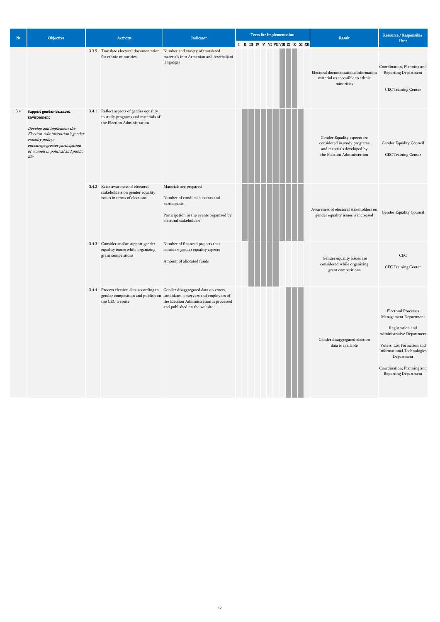| ${\bf N}^{\rm o}$ | Objective                                                                                                                                                                                                  | Activity                                                                                                      | Indicator                                                                                                                                                                                                                             | <b>Term for Implementation</b><br>I II III IV V VI VII VII IX X XI XII | <b>Result</b>                                                                                                            | Resource / Responsible<br>Unit                                                                                                                                                                                                              |
|-------------------|------------------------------------------------------------------------------------------------------------------------------------------------------------------------------------------------------------|---------------------------------------------------------------------------------------------------------------|---------------------------------------------------------------------------------------------------------------------------------------------------------------------------------------------------------------------------------------|------------------------------------------------------------------------|--------------------------------------------------------------------------------------------------------------------------|---------------------------------------------------------------------------------------------------------------------------------------------------------------------------------------------------------------------------------------------|
|                   |                                                                                                                                                                                                            | 3.3.5 Translate electoral documentation Number and variety of translated<br>for ethnic minorities             | materials into Armenian and Azerbaijani<br>languages                                                                                                                                                                                  |                                                                        | Electoral documentations/information<br>material us accessible to ethnic<br>minorities                                   | Coordination, Planning and<br>Reporting Department<br>CEC Training Center                                                                                                                                                                   |
| 3.4               | Support gender-balanced<br>environment<br>Develop and implement the<br>Election Administration's gender<br>equality policy;<br>encourage greater participation<br>of women in political and public<br>life | 3.4.1 Reflect aspects of gender equality<br>in study programs and materials of<br>the Election Administration |                                                                                                                                                                                                                                       |                                                                        | Gender Equality aspects are<br>considered in study programs<br>and materials developed by<br>the Election Administration | Gender Equality Council<br>CEC Training Center                                                                                                                                                                                              |
|                   |                                                                                                                                                                                                            | 3.4.2 Raise awareness of electoral<br>stakeholders on gender equality<br>issues in terms of elections         | Materials are prepared<br>Number of conducted events and<br>participants<br>Participation in the events organized by<br>electoral stakeholders                                                                                        |                                                                        | Awareness of electoral stakeholders on<br>gender equality issues is increased                                            | Gender Equality Council                                                                                                                                                                                                                     |
|                   |                                                                                                                                                                                                            | 3.4.3 Consider and/or support gender<br>equality issues while organizing<br>grant competitions                | Number of financed projects that<br>considers gender equality aspects<br>Amount of allocated funds                                                                                                                                    |                                                                        | Gender equality issues are<br>considered while organizing<br>grant competitions                                          | CEC<br>CEC Training Center                                                                                                                                                                                                                  |
|                   |                                                                                                                                                                                                            | the CEC website                                                                                               | 3.4.4 Process election data according to Gender disaggregated data on voters,<br>gender composition and publish on candidates, observers and employees of<br>the Election Administration is processed<br>and published on the website |                                                                        | Gender disaggregated election<br>data is available                                                                       | <b>Electoral Processes</b><br>Management Department<br>Registration and<br>Administrative Department<br>Voters' List Formation and<br><b>Informational Technologies</b><br>Department<br>Coordination, Planning and<br>Reporting Department |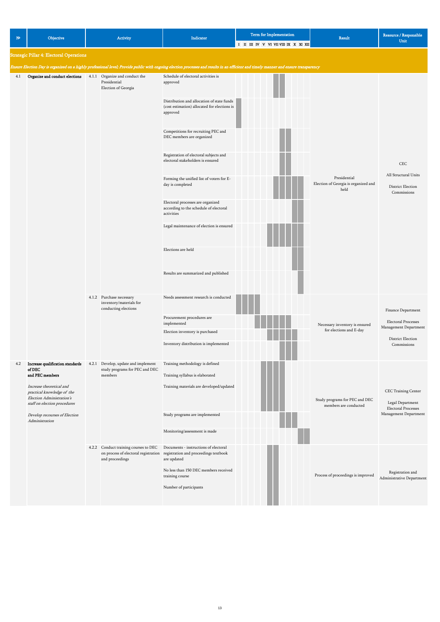No less than 150 DEC members received training course

Number of participants

Process of proceedings is improved Registration and<br>Administrative Department

| $N^{\circ}$ | Objective                                                                                                                                                                                                                                 | Activity                                                                         | Indicator                                                                                                                                                                                                                                                                                                                                                                                                                                                                                                                                                                            | Term for Implementation<br>I II III IV V VI VII VIII IX X XI XII                                                                                                                      | Result                                                       | Resource / Responsible<br>Unit                                                                                |
|-------------|-------------------------------------------------------------------------------------------------------------------------------------------------------------------------------------------------------------------------------------------|----------------------------------------------------------------------------------|--------------------------------------------------------------------------------------------------------------------------------------------------------------------------------------------------------------------------------------------------------------------------------------------------------------------------------------------------------------------------------------------------------------------------------------------------------------------------------------------------------------------------------------------------------------------------------------|---------------------------------------------------------------------------------------------------------------------------------------------------------------------------------------|--------------------------------------------------------------|---------------------------------------------------------------------------------------------------------------|
|             | <b>Strategic Pillar 4: Electoral Operations</b>                                                                                                                                                                                           |                                                                                  |                                                                                                                                                                                                                                                                                                                                                                                                                                                                                                                                                                                      |                                                                                                                                                                                       |                                                              |                                                                                                               |
|             |                                                                                                                                                                                                                                           |                                                                                  |                                                                                                                                                                                                                                                                                                                                                                                                                                                                                                                                                                                      |                                                                                                                                                                                       |                                                              |                                                                                                               |
|             |                                                                                                                                                                                                                                           |                                                                                  |                                                                                                                                                                                                                                                                                                                                                                                                                                                                                                                                                                                      | Ensure Election Day is organized on a highly professional level; Provide public with ongoing election processes and results in an efficient and timely manner and ensure transparency |                                                              |                                                                                                               |
| 4.1         | Organize and conduct elections                                                                                                                                                                                                            | 4.1.1 Organize and conduct the<br>Presidential<br>Election of Georgia            | Schedule of electoral activities is<br>approved<br>Distribution and allocation of state funds<br>(cost estimation) allocated for elections is<br>approved<br>Competitions for recruiting PEC and<br>DEC members are organized<br>Registration of electoral subjects and<br>electoral stakeholders is ensured<br>Forming the unified list of voters for E-<br>day is completed<br>Electoral processes are organized<br>according to the schedule of electoral<br>activities<br>Legal maintenance of election is ensured<br>Elections are held<br>Results are summarized and published |                                                                                                                                                                                       | Presidential<br>Election of Georgia is organized and<br>held | CEC<br>All Structural Units<br>District Election<br>Commissions                                               |
|             |                                                                                                                                                                                                                                           | 4.1.2 Purchase necessary<br>inventory/materials for<br>conducting elections      | Needs assessment research is conducted<br>Procurement procedures are<br>implemented<br>Election inventory is purchased<br>Inventory distribution is implemented                                                                                                                                                                                                                                                                                                                                                                                                                      |                                                                                                                                                                                       | Necessary inventory is ensured<br>for elections and E-day    | Finance Department<br><b>Electoral Processes</b><br>Management Department<br>District Election<br>Commissions |
| 4.2         | Increase qualification standards<br>of $DEC$<br>and PEC members<br>Increase theoretical and<br>practical knowledge of the<br>Election Administration's<br>staff on election procedures<br>Develop recourses of Election<br>Administration | 4.2.1 Develop, update and implement<br>study programs for PEC and DEC<br>members | Training methodology is defined<br>Training syllabus is elaborated<br>Training materials are developed/updated<br>Study programs are implemented<br>Monitoring/assessment is made                                                                                                                                                                                                                                                                                                                                                                                                    |                                                                                                                                                                                       | Study programs for PEC and DEC<br>members are conducted      | CEC Training Center<br>Legal Department<br><b>Electoral Processes</b><br>Management Department                |
|             |                                                                                                                                                                                                                                           | 4.2.2 Conduct training courses to DEC<br>and proceedings                         | Documents - instructions of electoral<br>on process of electoral registration registration and proceedings textbook<br>are updated                                                                                                                                                                                                                                                                                                                                                                                                                                                   |                                                                                                                                                                                       |                                                              |                                                                                                               |